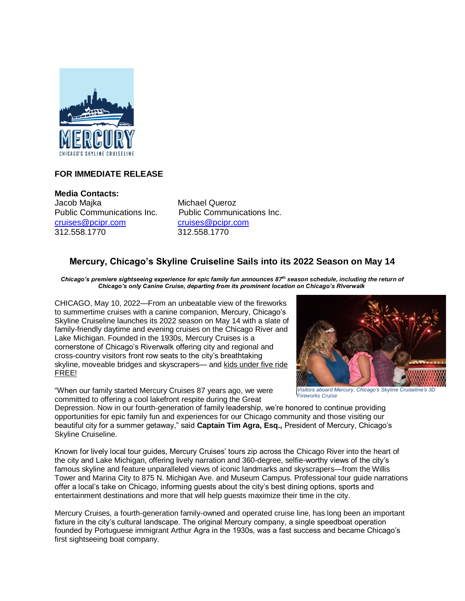

## **FOR IMMEDIATE RELEASE**

**Media Contacts:** Jacob Majka Michael Queroz [cruises@pcipr.com](mailto:cruises@pcipr.com) [cruises@pcipr.com](mailto:cruises@pcipr.com) 312.558.1770 312.558.1770

Public Communications Inc. Public Communications Inc.

# **Mercury, Chicago's Skyline Cruiseline Sails into its 2022 Season on May 14**

*Chicago's premiere sightseeing experience for epic family fun announces 87th season schedule, including the return of Chicago's only Canine Cruise, departing from its prominent location on Chicago's RIverwalk*

CHICAGO, May 10, 2022—From an unbeatable view of the fireworks to summertime cruises with a canine companion, Mercury, Chicago's Skyline Cruiseline launches its 2022 season on May 14 with a slate of family-friendly daytime and evening cruises on the Chicago River and Lake Michigan. Founded in the 1930s, Mercury Cruises is a cornerstone of Chicago's Riverwalk offering city and regional and cross-country visitors front row seats to the city's breathtaking skyline, moveable bridges and skyscrapers- and kids under five ride FREE!

"When our family started Mercury Cruises 87 years ago, we were committed to offering a cool lakefront respite during the Great



*Visitors aboard Mercury, Chicago's Skyline Cruiseline's 3D Fireworks Cruise*

Depression. Now in our fourth-generation of family leadership, we're honored to continue providing opportunities for epic family fun and experiences for our Chicago community and those visiting our beautiful city for a summer getaway," said **Captain Tim Agra, Esq.,** President of Mercury, Chicago's Skyline Cruiseline.

Known for lively local tour guides, Mercury Cruises' tours zip across the Chicago River into the heart of the city and Lake Michigan, offering lively narration and 360-degree, selfie-worthy views of the city's famous skyline and feature unparalleled views of iconic landmarks and skyscrapers—from the Willis Tower and Marina City to 875 N. Michigan Ave. and Museum Campus. Professional tour guide narrations offer a local's take on Chicago, informing guests about the city's best dining options, sports and entertainment destinations and more that will help guests maximize their time in the city.

Mercury Cruises, a fourth-generation family-owned and operated cruise line, has long been an important fixture in the city's cultural landscape. The original Mercury company, a single speedboat operation founded by Portuguese immigrant Arthur Agra in the 1930s, was a fast success and became Chicago's first sightseeing boat company.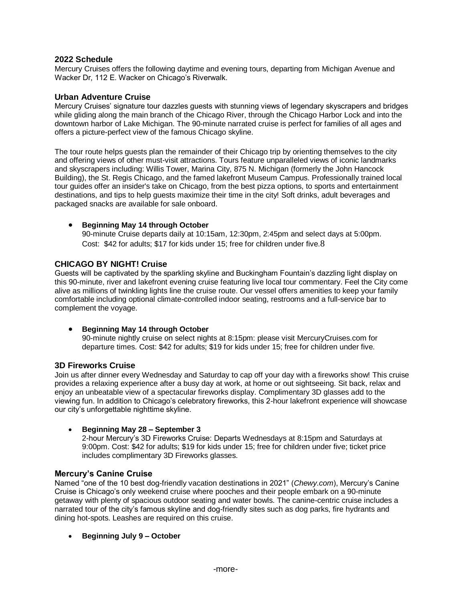### **2022 Schedule**

Mercury Cruises offers the following daytime and evening tours, departing from Michigan Avenue and Wacker Dr, 112 E. Wacker on Chicago's Riverwalk.

### **Urban Adventure Cruise**

Mercury Cruises' signature tour dazzles guests with stunning views of legendary skyscrapers and bridges while gliding along the main branch of the Chicago River, through the Chicago Harbor Lock and into the downtown harbor of Lake Michigan. The 90-minute narrated cruise is perfect for families of all ages and offers a picture-perfect view of the famous Chicago skyline.

The tour route helps guests plan the remainder of their Chicago trip by orienting themselves to the city and offering views of other must-visit attractions. Tours feature unparalleled views of iconic landmarks and skyscrapers including: Willis Tower, Marina City, 875 N. Michigan (formerly the John Hancock Building), the St. Regis Chicago, and the famed lakefront Museum Campus. Professionally trained local tour guides offer an insider's take on Chicago, from the best pizza options, to sports and entertainment destinations, and tips to help guests maximize their time in the city! Soft drinks, adult beverages and packaged snacks are available for sale onboard.

#### • **Beginning May 14 through October**

90-minute Cruise departs daily at 10:15am, 12:30pm, 2:45pm and select days at 5:00pm. Cost: \$42 for adults; \$17 for kids under 15; free for children under five.8

### **CHICAGO BY NIGHT! Cruise**

Guests will be captivated by the sparkling skyline and Buckingham Fountain's dazzling light display on this 90-minute, river and lakefront evening cruise featuring live local tour commentary. Feel the City come alive as millions of twinkling lights line the cruise route. Our vessel offers amenities to keep your family comfortable including optional climate-controlled indoor seating, restrooms and a full-service bar to complement the voyage.

### • **Beginning May 14 through October**

90-minute nightly cruise on select nights at 8:15pm: please visit MercuryCruises.com for departure times. Cost: \$42 for adults; \$19 for kids under 15; free for children under five.

### **3D Fireworks Cruise**

Join us after dinner every Wednesday and Saturday to cap off your day with a fireworks show! This cruise provides a relaxing experience after a busy day at work, at home or out sightseeing. Sit back, relax and enjoy an unbeatable view of a spectacular fireworks display. Complimentary 3D glasses add to the viewing fun. In addition to Chicago's celebratory fireworks, this 2-hour lakefront experience will showcase our city's unforgettable nighttime skyline.

### • **Beginning May 28 – September 3**

2-hour Mercury's 3D Fireworks Cruise: Departs Wednesdays at 8:15pm and Saturdays at 9:00pm. Cost: \$42 for adults; \$19 for kids under 15; free for children under five; ticket price includes complimentary 3D Fireworks glasses.

### **Mercury's Canine Cruise**

Named "one of the 10 best dog-friendly vacation destinations in 2021" (*Chewy.com*), Mercury's Canine Cruise is Chicago's only weekend cruise where pooches and their people embark on a 90-minute getaway with plenty of spacious outdoor seating and water bowls. The canine-centric cruise includes a narrated tour of the city's famous skyline and dog-friendly sites such as dog parks, fire hydrants and dining hot-spots. Leashes are required on this cruise.

• **Beginning July 9 – October**